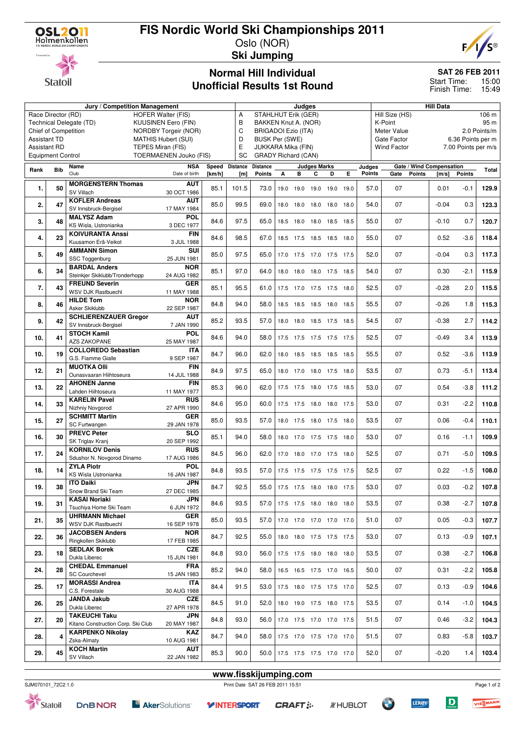### **FIS Nordic World Ski Championships 2011**



Oslo (NOR) **Ski Jumping**

# **Statoil**

#### **Normal Hill Individual Unofficial Results 1st Round**

#### **SAT 26 FEB 2011**

Start Time: 15:00 Finish Time: 15:49

|                     |                          | Jury / Competition Management                         |                               | Judges                                    |                |                            |      |      |                     |                          | <b>Hill Data</b>        |              |                                  |                     |                          |               |       |
|---------------------|--------------------------|-------------------------------------------------------|-------------------------------|-------------------------------------------|----------------|----------------------------|------|------|---------------------|--------------------------|-------------------------|--------------|----------------------------------|---------------------|--------------------------|---------------|-------|
|                     | Race Director (RD)       | <b>HOFER Walter (FIS)</b>                             | Α                             | <b>STAHLHUT Erik (GER)</b>                |                |                            |      |      |                     |                          | Hill Size (HS)<br>106 m |              |                                  |                     |                          |               |       |
|                     |                          | <b>KUUSINEN Eero (FIN)</b><br>Technical Delegate (TD) | B                             | BAKKEN Knut A. (NOR)                      |                |                            |      |      |                     |                          | K-Point                 |              |                                  |                     | 95 m                     |               |       |
|                     | Chief of Competition     | NORDBY Torgeir (NOR)                                  | C                             | <b>BRIGADOI Ezio (ITA)</b><br>Meter Value |                |                            |      |      |                     |                          |                         | 2.0 Points/m |                                  |                     |                          |               |       |
| <b>Assistant TD</b> |                          |                                                       | <b>MATHIS Hubert (SUI)</b>    |                                           | D              | <b>BUSK Per (SWE)</b>      |      |      |                     |                          |                         |              | Gate Factor<br>6.36 Points per m |                     |                          |               |       |
| <b>Assistant RD</b> |                          | TEPES Miran (FIS)                                     | E                             | JUKKARA Mika (FIN)                        |                |                            |      |      |                     |                          | <b>Wind Factor</b>      |              |                                  | 7.00 Points per m/s |                          |               |       |
|                     | <b>Equipment Control</b> |                                                       | <b>TOERMAENEN Jouko (FIS)</b> |                                           | <b>SC</b>      | <b>GRADY Richard (CAN)</b> |      |      |                     |                          |                         |              |                                  |                     |                          |               |       |
| Rank                | <b>Bib</b>               | Name                                                  | <b>NSA</b>                    |                                           | Speed Distance | <b>Distance</b>            |      |      | <b>Judges Marks</b> |                          |                         | Judges       |                                  |                     | Gate / Wind Compensation |               | Total |
|                     |                          | Club                                                  | Date of birth                 | [km/h]                                    | [m]            | <b>Points</b>              | A    | в    | C                   | D                        | Е                       | Points       | Gate                             | <b>Points</b>       | [m/s]                    | <b>Points</b> |       |
| 1.                  | 50                       | <b>MORGENSTERN Thomas</b>                             | <b>AUT</b>                    | 85.1                                      | 101.5          | 73.0                       | 19.0 | 19.0 |                     | 19.0 19.0 19.0           |                         | 57.0         | 07                               |                     | 0.01                     | $-0.1$        | 129.9 |
|                     |                          | SV Villach                                            | 30 OCT 1986                   |                                           |                |                            |      |      |                     |                          |                         |              |                                  |                     |                          |               |       |
| 2.                  | 47                       | <b>KOFLER Andreas</b>                                 | <b>AUT</b>                    | 85.0                                      | 99.5           | 69.0                       | 18.0 |      |                     | 18.0 18.0 18.0 18.0      |                         | 54.0         | 07                               |                     | $-0.04$                  | 0.3           | 123.3 |
|                     |                          | SV Innsbruck-Bergisel                                 | 17 MAY 1984                   |                                           |                |                            |      |      |                     |                          |                         |              |                                  |                     |                          |               |       |
| 3.                  | 48                       | <b>MALYSZ Adam</b>                                    | <b>POL</b>                    | 84.6                                      | 97.5           | 65.0                       |      |      |                     | 18.5 18.0 18.0 18.5 18.5 |                         | 55.0         | 07                               |                     | $-0.10$                  | 0.7           | 120.7 |
|                     |                          | KS Wisla, Ustronianka                                 | 3 DEC 1977                    |                                           |                |                            |      |      |                     |                          |                         |              |                                  |                     |                          |               |       |
| 4.                  | 23                       | <b>KOIVURANTA Anssi</b>                               | FIN                           | 84.6                                      | 98.5           | 67.0                       |      |      |                     | 18.5 17.5 18.5 18.5 18.0 |                         | 55.0         | 07                               |                     | 0.52                     | $-3.6$        | 118.4 |
|                     |                          | Kuusamon Erä-Veikot<br><b>AMMANN Simon</b>            | 3 JUL 1988<br>SUI             |                                           |                |                            |      |      |                     |                          |                         |              |                                  |                     |                          |               |       |
| 5.                  | 49                       | SSC Toggenburg                                        | 25 JUN 1981                   | 85.0                                      | 97.5           | 65.0                       |      |      |                     | 17.0 17.5 17.0 17.5 17.5 |                         | 52.0         | 07                               |                     | $-0.04$                  | 0.3           | 117.3 |
|                     |                          | <b>BARDAL Anders</b>                                  | <b>NOR</b>                    |                                           |                |                            |      |      |                     |                          |                         |              |                                  |                     |                          |               |       |
| 6.                  | 34                       | Steinkjer Skiklubb/Tronderhopp                        | 24 AUG 1982                   | 85.1                                      | 97.0           | 64.0                       |      |      |                     | 18.0 18.0 18.0 17.5 18.5 |                         | 54.0         | 07                               |                     | 0.30                     | $-2.1$        | 115.9 |
|                     |                          | <b>FREUND Severin</b>                                 | <b>GER</b>                    |                                           |                |                            |      |      |                     |                          |                         |              |                                  |                     |                          |               |       |
| 7.                  | 43                       | WSV DJK Rastbuechl                                    | 11 MAY 1988                   | 85.1                                      | 95.5           | 61.0                       |      |      |                     | 17.5 17.0 17.5 17.5 18.0 |                         | 52.5         | 07                               |                     | $-0.28$                  | 2.0           | 115.5 |
| 8.                  | 46                       | <b>HILDE Tom</b>                                      | <b>NOR</b>                    | 84.8                                      | 94.0           | 58.0                       |      |      |                     | 18.5 18.5 18.5 18.0 18.5 |                         | 55.5         | 07                               |                     | $-0.26$                  | 1.8           | 115.3 |
|                     |                          | Asker Skiklubb                                        | 22 SEP 1987                   |                                           |                |                            |      |      |                     |                          |                         |              |                                  |                     |                          |               |       |
| 9.                  | 42                       | <b>SCHLIERENZAUER Gregor</b>                          | <b>AUT</b>                    | 85.2                                      | 93.5           | 57.0                       |      |      |                     | 18.0 18.0 18.5 17.5 18.5 |                         | 54.5         | 07                               |                     | $-0.38$                  | 2.7           | 114.2 |
|                     |                          | SV Innsbruck-Bergisel                                 | 7 JAN 1990                    |                                           |                |                            |      |      |                     |                          |                         |              |                                  |                     |                          |               |       |
| 10.                 | 41                       | <b>STOCH Kamil</b>                                    | <b>POL</b>                    | 84.6                                      | 94.0           | 58.0                       |      |      |                     | 17.5 17.5 17.5 17.5 17.5 |                         | 52.5         | 07                               |                     | $-0.49$                  | 3.4           | 113.9 |
|                     |                          | <b>AZS ZAKOPANE</b>                                   | 25 MAY 1987                   |                                           |                |                            |      |      |                     |                          |                         |              |                                  |                     |                          |               |       |
| 10.                 | 19                       | <b>COLLOREDO Sebastian</b><br>G.S. Fiamme Gialle      | <b>ITA</b><br>9 SEP 1987      | 84.7                                      | 96.0           | 62.0                       |      |      |                     | 18.0 18.5 18.5 18.5 18.5 |                         | 55.5         | 07                               |                     | 0.52                     | $-3.6$        | 113.9 |
|                     |                          | <b>MUOTKA OIII</b>                                    | <b>FIN</b>                    |                                           |                |                            |      |      |                     |                          |                         |              |                                  |                     |                          |               |       |
| 12.                 | 21                       | Ounasvaaran Hiihtoseura                               | 14 JUL 1988                   | 84.9                                      | 97.5           | 65.0                       |      |      |                     | 18.0 17.0 18.0 17.5 18.0 |                         | 53.5         | 07                               |                     | 0.73                     | $-5.1$        | 113.4 |
|                     |                          | <b>AHONEN Janne</b>                                   | <b>FIN</b>                    |                                           |                |                            |      |      |                     |                          |                         |              |                                  |                     |                          |               |       |
| 13.                 | 22                       | Lahden Hiihtoseura                                    | 11 MAY 1977                   | 85.3                                      | 96.0           | 62.0                       |      |      |                     | 17.5 17.5 18.0 17.5 18.5 |                         | 53.0         | 07                               |                     | 0.54                     | $-3.8$        | 111.2 |
|                     |                          | <b>KARELIN Pavel</b>                                  | <b>RUS</b>                    |                                           |                |                            |      |      |                     |                          |                         |              |                                  |                     |                          |               |       |
| 14.                 | 33                       | Nizhniy Novgorod                                      | 27 APR 1990                   | 84.6                                      | 95.0           | 60.0                       | 17.5 |      |                     | 17.5 18.0 18.0 17.5      |                         | 53.0         | 07                               |                     | 0.31                     | $-2.2$        | 110.8 |
| 15.                 | 27                       | <b>SCHMITT Martin</b>                                 | <b>GER</b>                    | 85.0                                      | 93.5           | 57.0                       |      |      |                     | 18.0 17.5 18.0 17.5 18.0 |                         | 53.5         | 07                               |                     | 0.06                     | $-0.4$        | 110.1 |
|                     |                          | SC Furtwangen                                         | 29 JAN 1978                   |                                           |                |                            |      |      |                     |                          |                         |              |                                  |                     |                          |               |       |
| 16.                 | 30                       | <b>PREVC Peter</b>                                    | <b>SLO</b>                    | 85.1                                      | 94.0           | 58.0                       |      |      |                     | 18.0 17.0 17.5 17.5 18.0 |                         | 53.0         | 07                               |                     | 0.16                     | -1.1          | 109.9 |
|                     |                          | SK Triglav Kranj                                      | 20 SEP 1992                   |                                           |                |                            |      |      |                     |                          |                         |              |                                  |                     |                          |               |       |
| 17.                 | 24                       | <b>KORNILOV Denis</b>                                 | <b>RUS</b>                    | 84.5                                      | 96.0           | 62.0                       |      |      |                     | 17.0 18.0 17.0 17.5 18.0 |                         | 52.5         | 07                               |                     | 0.71                     | $-5.0$        | 109.5 |
|                     |                          | Sdushor N. Novgorod Dinamo<br><b>ZYLA Piotr</b>       | 17 AUG 1986                   |                                           |                |                            |      |      |                     |                          |                         |              |                                  |                     |                          |               |       |
| 18.                 | 14                       | KS Wisla Ustronianka                                  | <b>POL</b><br>16 JAN 1987     | 84.8                                      | 93.5           | 57.0                       |      |      |                     | 17.5 17.5 17.5 17.5 17.5 |                         | 52.5         | 07                               |                     | 0.22                     | $-1.5$        | 108.0 |
|                     |                          | <b>ITO Daiki</b>                                      | <b>JPN</b>                    |                                           |                |                            |      |      |                     |                          |                         |              |                                  |                     |                          |               |       |
| 19.                 | 38                       | Snow Brand Ski Team                                   | 27 DEC 1985                   | 84.7                                      | 92.5           | 55.0                       |      |      |                     | 17.5 17.5 18.0 18.0 17.5 |                         | 53.0         | 07                               |                     | 0.03                     | $-0.2$        | 107.8 |
|                     |                          | <b>KASAI Noriaki</b>                                  | <b>JPN</b>                    |                                           |                |                            |      |      |                     |                          |                         |              |                                  |                     |                          |               |       |
| 19.                 | 31                       | Tsuchiya Home Ski Team                                | 6 JUN 1972                    | 84.6                                      | 93.5           | 57.0                       |      |      |                     | 17.5 17.5 18.0 18.0 18.0 |                         | 53.5         | 07                               |                     | 0.38                     | $-2.7$        | 107.8 |
|                     |                          | <b>UHRMANN Michael</b>                                | GER                           | 85.0                                      | 93.5           |                            |      |      |                     |                          |                         | 51.0         | 07                               |                     |                          | $-0.3$        |       |
| 21.                 | 35                       | WSV DJK Rastbuechl                                    | 16 SEP 1978                   |                                           |                | 57.0                       |      |      |                     | 17.0 17.0 17.0 17.0 17.0 |                         |              |                                  |                     | 0.05                     |               | 107.7 |
| 22.                 | 36                       | <b>JACOBSEN Anders</b>                                | <b>NOR</b>                    | 84.7                                      | 92.5           | 55.0                       |      |      |                     | 18.0 18.0 17.5 17.5 17.5 |                         | 53.0         | 07                               |                     | 0.13                     | $-0.9$        | 107.1 |
|                     |                          | Ringkollen Skiklubb                                   | 17 FEB 1985                   |                                           |                |                            |      |      |                     |                          |                         |              |                                  |                     |                          |               |       |
| 23.                 | 18                       | <b>SEDLAK Borek</b>                                   | <b>CZE</b>                    | 84.8                                      | 93.0           | 56.0                       |      |      |                     | 17.5 17.5 18.0 18.0 18.0 |                         | 53.5         | 07                               |                     | 0.38                     | $-2.7$        | 106.8 |
|                     |                          | Dukla Liberec                                         | 15 JUN 1981                   |                                           |                |                            |      |      |                     |                          |                         |              |                                  |                     |                          |               |       |
| 24.                 | 28                       | <b>CHEDAL Emmanuel</b><br><b>SC Courchevel</b>        | <b>FRA</b><br>15 JAN 1983     | 85.2                                      | 94.0           | 58.0                       |      |      |                     | 16.5 16.5 17.5 17.0 16.5 |                         | 50.0         | 07                               |                     | 0.31                     | $-2.2$        | 105.8 |
|                     |                          | <b>MORASSI Andrea</b>                                 | <b>ITA</b>                    |                                           |                |                            |      |      |                     |                          |                         |              |                                  |                     |                          |               |       |
| 25.                 | 17                       | C.S. Forestale                                        | 30 AUG 1988                   | 84.4                                      | 91.5           | 53.0                       |      |      |                     | 17.5 18.0 17.5 17.5 17.0 |                         | 52.5         | 07                               |                     | 0.13                     | $-0.9$        | 104.6 |
|                     |                          | <b>JANDA Jakub</b>                                    | <b>CZE</b>                    |                                           |                |                            |      |      |                     |                          |                         |              |                                  |                     |                          |               |       |
| 26.                 | 25                       | Dukla Liberec                                         | 27 APR 1978                   | 84.5                                      | 91.0           | 52.0                       |      |      |                     | 18.0 19.0 17.5 18.0 17.5 |                         | 53.5         | 07                               |                     | 0.14                     | $-1.0$        | 104.5 |
|                     |                          | <b>TAKEUCHI Taku</b>                                  | JPN                           |                                           |                |                            |      |      |                     |                          |                         |              |                                  |                     |                          |               |       |
| 27.                 | 20                       | Kitano Construction Corp. Ski Club                    | 20 MAY 1987                   | 84.8                                      | 93.0           | 56.0                       |      |      |                     | 17.0 17.5 17.0 17.0 17.5 |                         | 51.5         | 07                               |                     | 0.46                     | -3.2          | 104.3 |
| 28.                 | 4                        | <b>KARPENKO Nikolay</b>                               | KAZ                           | 84.7                                      | 94.0           | 58.0                       |      |      |                     | 17.5 17.0 17.5 17.0 17.0 |                         | 51.5         | 07                               |                     | 0.83                     | $-5.8$        | 103.7 |
|                     |                          | Zska-Almaty                                           | 10 AUG 1981                   |                                           |                |                            |      |      |                     |                          |                         |              |                                  |                     |                          |               |       |
| 29.                 | 45                       | <b>KOCH Martin</b>                                    | <b>AUT</b>                    | 85.3                                      | 90.0           | 50.0                       |      |      |                     | 17.5 17.5 17.5 17.0 17.0 |                         | 52.0         | 07                               |                     | $-0.20$                  | 1.4           | 103.4 |
|                     |                          | SV Villach                                            | 22 JAN 1982                   |                                           |                |                            |      |      |                     |                          |                         |              |                                  |                     |                          |               |       |



Statoil

**DOBNOR E** AkerSolutions<sup>®</sup> **Y INTERSPORT** 

**www.fisskijumping.com**



Page 1 of 2

 $\boxed{\mathbf{D}}$ 

**LERØY**